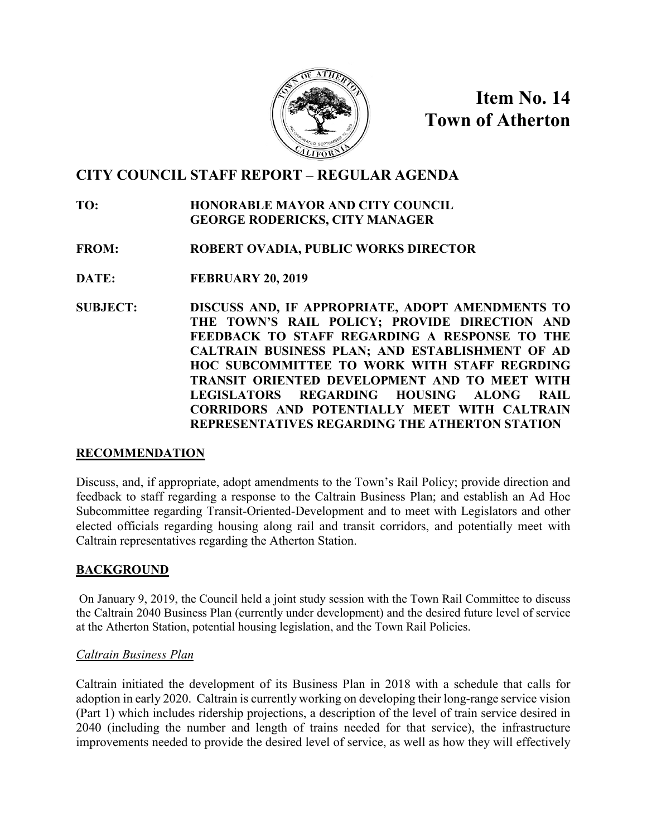

**Item No. 14 Town of Atherton**

# **CITY COUNCIL STAFF REPORT – REGULAR AGENDA**

## **TO: HONORABLE MAYOR AND CITY COUNCIL GEORGE RODERICKS, CITY MANAGER**

- **FROM: ROBERT OVADIA, PUBLIC WORKS DIRECTOR**
- **DATE: FEBRUARY 20, 2019**
- **SUBJECT: DISCUSS AND, IF APPROPRIATE, ADOPT AMENDMENTS TO THE TOWN'S RAIL POLICY; PROVIDE DIRECTION AND FEEDBACK TO STAFF REGARDING A RESPONSE TO THE CALTRAIN BUSINESS PLAN; AND ESTABLISHMENT OF AD HOC SUBCOMMITTEE TO WORK WITH STAFF REGRDING TRANSIT ORIENTED DEVELOPMENT AND TO MEET WITH LEGISLATORS REGARDING HOUSING ALONG RAIL CORRIDORS AND POTENTIALLY MEET WITH CALTRAIN REPRESENTATIVES REGARDING THE ATHERTON STATION**

### **RECOMMENDATION**

Discuss, and, if appropriate, adopt amendments to the Town's Rail Policy; provide direction and feedback to staff regarding a response to the Caltrain Business Plan; and establish an Ad Hoc Subcommittee regarding Transit-Oriented-Development and to meet with Legislators and other elected officials regarding housing along rail and transit corridors, and potentially meet with Caltrain representatives regarding the Atherton Station.

## **BACKGROUND**

On January 9, 2019, the Council held a joint study session with the Town Rail Committee to discuss the Caltrain 2040 Business Plan (currently under development) and the desired future level of service at the Atherton Station, potential housing legislation, and the Town Rail Policies.

### *Caltrain Business Plan*

Caltrain initiated the development of its Business Plan in 2018 with a schedule that calls for adoption in early 2020. Caltrain is currently working on developing their long-range service vision (Part 1) which includes ridership projections, a description of the level of train service desired in 2040 (including the number and length of trains needed for that service), the infrastructure improvements needed to provide the desired level of service, as well as how they will effectively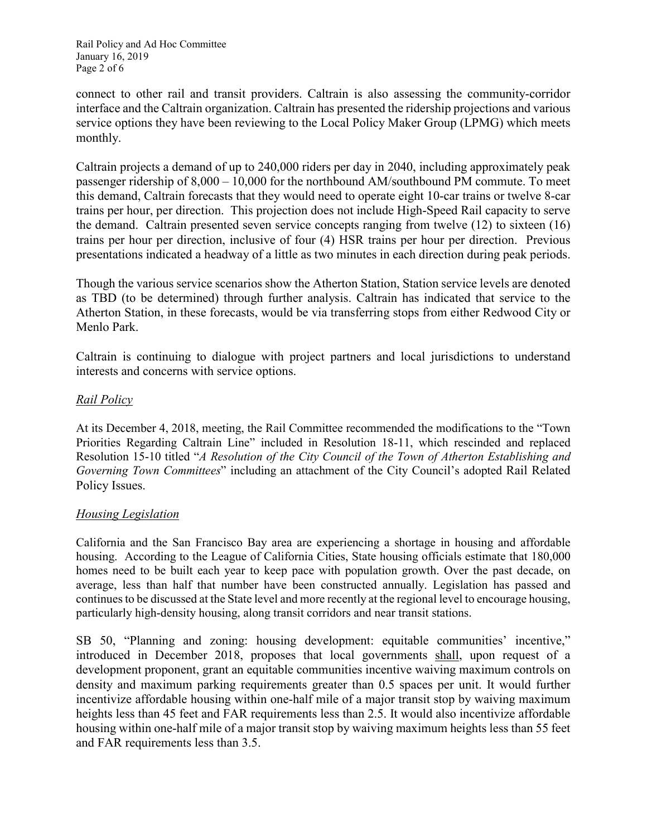Rail Policy and Ad Hoc Committee January 16, 2019 Page 2 of 6

connect to other rail and transit providers. Caltrain is also assessing the community-corridor interface and the Caltrain organization. Caltrain has presented the ridership projections and various service options they have been reviewing to the Local Policy Maker Group (LPMG) which meets monthly.

Caltrain projects a demand of up to 240,000 riders per day in 2040, including approximately peak passenger ridership of 8,000 – 10,000 for the northbound AM/southbound PM commute. To meet this demand, Caltrain forecasts that they would need to operate eight 10-car trains or twelve 8-car trains per hour, per direction. This projection does not include High-Speed Rail capacity to serve the demand. Caltrain presented seven service concepts ranging from twelve (12) to sixteen (16) trains per hour per direction, inclusive of four (4) HSR trains per hour per direction. Previous presentations indicated a headway of a little as two minutes in each direction during peak periods.

Though the various service scenarios show the Atherton Station, Station service levels are denoted as TBD (to be determined) through further analysis. Caltrain has indicated that service to the Atherton Station, in these forecasts, would be via transferring stops from either Redwood City or Menlo Park.

Caltrain is continuing to dialogue with project partners and local jurisdictions to understand interests and concerns with service options.

#### *Rail Policy*

At its December 4, 2018, meeting, the Rail Committee recommended the modifications to the "Town Priorities Regarding Caltrain Line" included in Resolution 18-11, which rescinded and replaced Resolution 15-10 titled "*A Resolution of the City Council of the Town of Atherton Establishing and Governing Town Committees*" including an attachment of the City Council's adopted Rail Related Policy Issues.

#### *Housing Legislation*

California and the San Francisco Bay area are experiencing a shortage in housing and affordable housing. According to the League of California Cities, State housing officials estimate that 180,000 homes need to be built each year to keep pace with population growth. Over the past decade, on average, less than half that number have been constructed annually. Legislation has passed and continues to be discussed at the State level and more recently at the regional level to encourage housing, particularly high-density housing, along transit corridors and near transit stations.

SB 50, "Planning and zoning: housing development: equitable communities' incentive," introduced in December 2018, proposes that local governments shall, upon request of a development proponent, grant an equitable communities incentive waiving maximum controls on density and maximum parking requirements greater than 0.5 spaces per unit. It would further incentivize affordable housing within one-half mile of a major transit stop by waiving maximum heights less than 45 feet and FAR requirements less than 2.5. It would also incentivize affordable housing within one-half mile of a major transit stop by waiving maximum heights less than 55 feet and FAR requirements less than 3.5.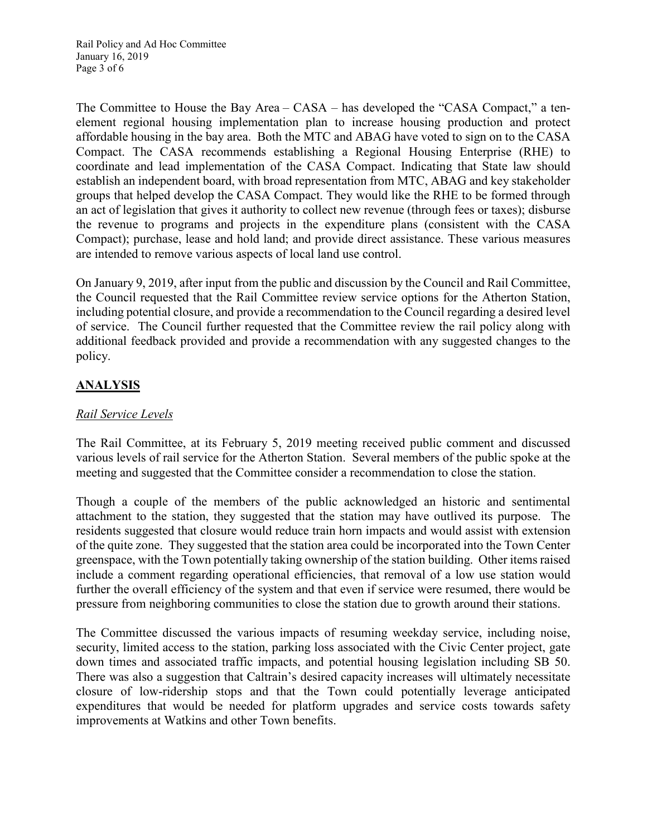Rail Policy and Ad Hoc Committee January 16, 2019 Page 3 of 6

The Committee to House the Bay Area – CASA – has developed the "CASA Compact," a tenelement regional housing implementation plan to increase housing production and protect affordable housing in the bay area. Both the MTC and ABAG have voted to sign on to the CASA Compact. The CASA recommends establishing a Regional Housing Enterprise (RHE) to coordinate and lead implementation of the CASA Compact. Indicating that State law should establish an independent board, with broad representation from MTC, ABAG and key stakeholder groups that helped develop the CASA Compact. They would like the RHE to be formed through an act of legislation that gives it authority to collect new revenue (through fees or taxes); disburse the revenue to programs and projects in the expenditure plans (consistent with the CASA Compact); purchase, lease and hold land; and provide direct assistance. These various measures are intended to remove various aspects of local land use control.

On January 9, 2019, after input from the public and discussion by the Council and Rail Committee, the Council requested that the Rail Committee review service options for the Atherton Station, including potential closure, and provide a recommendation to the Council regarding a desired level of service. The Council further requested that the Committee review the rail policy along with additional feedback provided and provide a recommendation with any suggested changes to the policy.

# **ANALYSIS**

### *Rail Service Levels*

The Rail Committee, at its February 5, 2019 meeting received public comment and discussed various levels of rail service for the Atherton Station. Several members of the public spoke at the meeting and suggested that the Committee consider a recommendation to close the station.

Though a couple of the members of the public acknowledged an historic and sentimental attachment to the station, they suggested that the station may have outlived its purpose. The residents suggested that closure would reduce train horn impacts and would assist with extension of the quite zone. They suggested that the station area could be incorporated into the Town Center greenspace, with the Town potentially taking ownership of the station building. Other items raised include a comment regarding operational efficiencies, that removal of a low use station would further the overall efficiency of the system and that even if service were resumed, there would be pressure from neighboring communities to close the station due to growth around their stations.

The Committee discussed the various impacts of resuming weekday service, including noise, security, limited access to the station, parking loss associated with the Civic Center project, gate down times and associated traffic impacts, and potential housing legislation including SB 50. There was also a suggestion that Caltrain's desired capacity increases will ultimately necessitate closure of low-ridership stops and that the Town could potentially leverage anticipated expenditures that would be needed for platform upgrades and service costs towards safety improvements at Watkins and other Town benefits.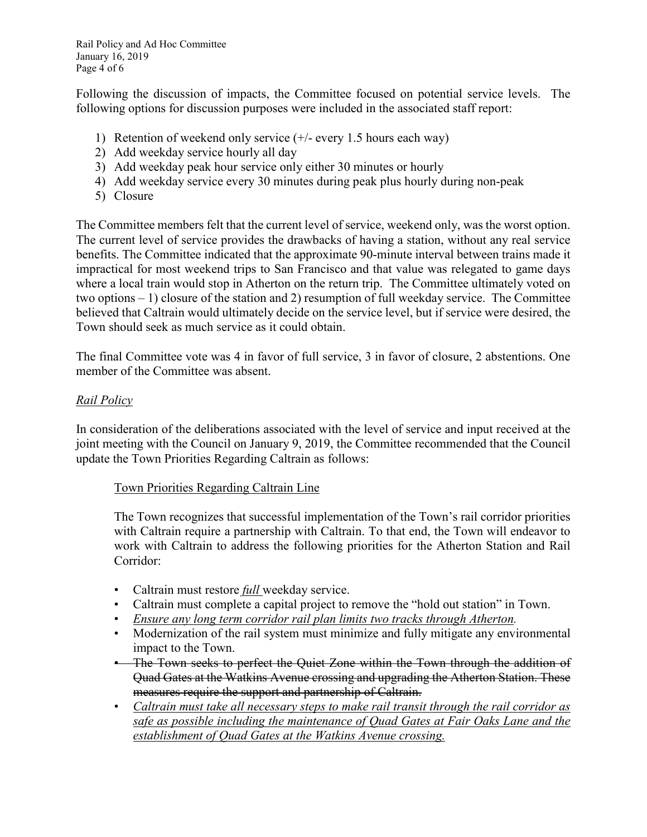Rail Policy and Ad Hoc Committee January 16, 2019 Page 4 of 6

Following the discussion of impacts, the Committee focused on potential service levels. The following options for discussion purposes were included in the associated staff report:

- 1) Retention of weekend only service (+/- every 1.5 hours each way)
- 2) Add weekday service hourly all day
- 3) Add weekday peak hour service only either 30 minutes or hourly
- 4) Add weekday service every 30 minutes during peak plus hourly during non-peak
- 5) Closure

The Committee members felt that the current level of service, weekend only, was the worst option. The current level of service provides the drawbacks of having a station, without any real service benefits. The Committee indicated that the approximate 90-minute interval between trains made it impractical for most weekend trips to San Francisco and that value was relegated to game days where a local train would stop in Atherton on the return trip. The Committee ultimately voted on two options – 1) closure of the station and 2) resumption of full weekday service. The Committee believed that Caltrain would ultimately decide on the service level, but if service were desired, the Town should seek as much service as it could obtain.

The final Committee vote was 4 in favor of full service, 3 in favor of closure, 2 abstentions. One member of the Committee was absent.

#### *Rail Policy*

In consideration of the deliberations associated with the level of service and input received at the joint meeting with the Council on January 9, 2019, the Committee recommended that the Council update the Town Priorities Regarding Caltrain as follows:

#### Town Priorities Regarding Caltrain Line

The Town recognizes that successful implementation of the Town's rail corridor priorities with Caltrain require a partnership with Caltrain. To that end, the Town will endeavor to work with Caltrain to address the following priorities for the Atherton Station and Rail Corridor:

- Caltrain must restore *full* weekday service.
- Caltrain must complete a capital project to remove the "hold out station" in Town.
- *Ensure any long term corridor rail plan limits two tracks through Atherton.*
- Modernization of the rail system must minimize and fully mitigate any environmental impact to the Town.
- The Town seeks to perfect the Quiet Zone within the Town through the addition of Quad Gates at the Watkins Avenue crossing and upgrading the Atherton Station. These measures require the support and partnership of Caltrain.
- *Caltrain must take all necessary steps to make rail transit through the rail corridor as safe as possible including the maintenance of Quad Gates at Fair Oaks Lane and the establishment of Quad Gates at the Watkins Avenue crossing.*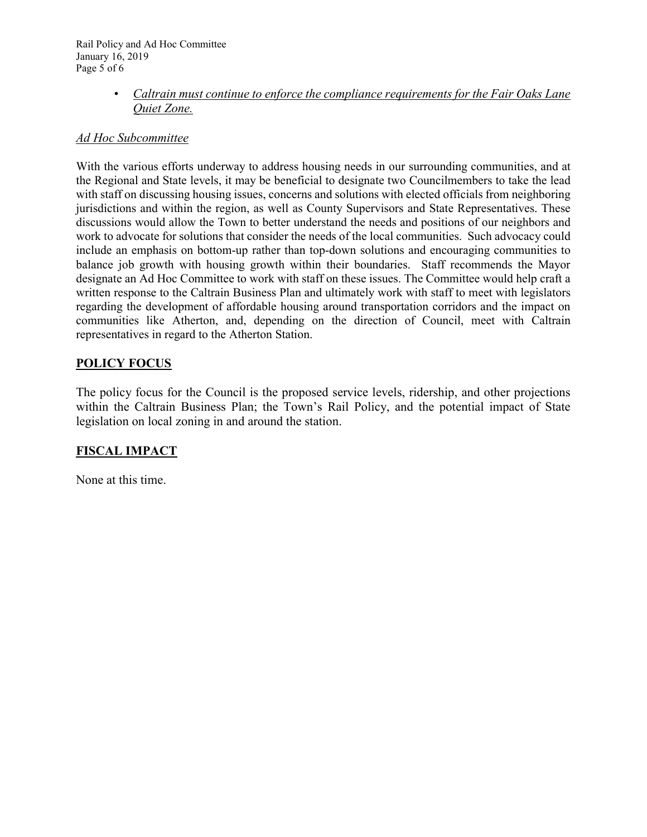Rail Policy and Ad Hoc Committee January 16, 2019 Page 5 of 6

> • *Caltrain must continue to enforce the compliance requirements for the Fair Oaks Lane Quiet Zone.*

#### *Ad Hoc Subcommittee*

With the various efforts underway to address housing needs in our surrounding communities, and at the Regional and State levels, it may be beneficial to designate two Councilmembers to take the lead with staff on discussing housing issues, concerns and solutions with elected officials from neighboring jurisdictions and within the region, as well as County Supervisors and State Representatives. These discussions would allow the Town to better understand the needs and positions of our neighbors and work to advocate for solutions that consider the needs of the local communities. Such advocacy could include an emphasis on bottom-up rather than top-down solutions and encouraging communities to balance job growth with housing growth within their boundaries. Staff recommends the Mayor designate an Ad Hoc Committee to work with staff on these issues. The Committee would help craft a written response to the Caltrain Business Plan and ultimately work with staff to meet with legislators regarding the development of affordable housing around transportation corridors and the impact on communities like Atherton, and, depending on the direction of Council, meet with Caltrain representatives in regard to the Atherton Station.

### **POLICY FOCUS**

The policy focus for the Council is the proposed service levels, ridership, and other projections within the Caltrain Business Plan; the Town's Rail Policy, and the potential impact of State legislation on local zoning in and around the station.

## **FISCAL IMPACT**

None at this time.